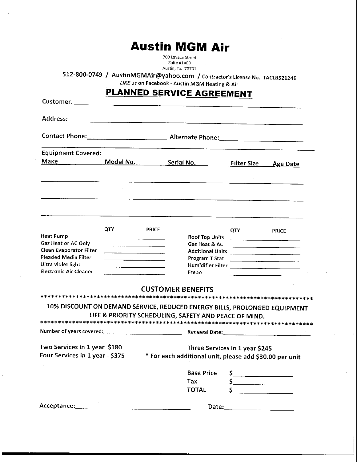# **Austin MGM Air**

700 Lavaca Street Suite #1400 Austin, Tx. 78701

**512-800-0749 / AustinMGMAir@yahoo.com /** Contractor's License No. TACLB52124E

LIKE us on Facebook - Austin MGM Heating & Air

## **PLANNED SERVICE AGREEMENT**

| <b>Equipment Covered:</b>                                                                     |                               |                                                       |                                                                                                                        |                    |                 |
|-----------------------------------------------------------------------------------------------|-------------------------------|-------------------------------------------------------|------------------------------------------------------------------------------------------------------------------------|--------------------|-----------------|
| <b>Make Make</b>                                                                              | <u>Model No. ________</u> ___ |                                                       | <u>Serial No. Letter and the series of the series of the series of the series of the series of the series of the s</u> | <b>Filter Size</b> | <b>Age Date</b> |
|                                                                                               |                               |                                                       |                                                                                                                        |                    |                 |
|                                                                                               |                               |                                                       |                                                                                                                        |                    |                 |
|                                                                                               |                               |                                                       |                                                                                                                        |                    |                 |
|                                                                                               |                               |                                                       |                                                                                                                        |                    |                 |
|                                                                                               | QTY                           | <b>PRICE</b>                                          |                                                                                                                        | QTY                | <b>PRICE</b>    |
| <b>Heat Pump</b>                                                                              |                               |                                                       | <b>Roof Top Units</b>                                                                                                  |                    |                 |
| Gas Heat or AC Only<br>Clean Evaporator Filter                                                |                               |                                                       | Gas Heat & AC                                                                                                          |                    |                 |
| <b>Pleaded Media Filter</b>                                                                   |                               |                                                       | Program T Stat                                                                                                         |                    |                 |
| Ultra violet light                                                                            |                               |                                                       |                                                                                                                        |                    |                 |
| <b>Electronic Air Cleaner</b>                                                                 |                               |                                                       | Freon                                                                                                                  |                    |                 |
|                                                                                               |                               | <b>CUSTOMER BENEFITS</b>                              |                                                                                                                        |                    |                 |
|                                                                                               |                               |                                                       |                                                                                                                        |                    |                 |
| 10% DISCOUNT ON DEMAND SERVICE, REDUCED ENERGY BILLS, PROLONGED EQUIPMENT                     |                               |                                                       |                                                                                                                        |                    |                 |
|                                                                                               |                               | LIFE & PRIORITY SCHEDULING, SAFETY AND PEACE OF MIND. |                                                                                                                        |                    |                 |
|                                                                                               |                               |                                                       |                                                                                                                        |                    |                 |
| Number of years covered: <u>Communications</u> Renewal Date: Communications of years covered: |                               |                                                       |                                                                                                                        |                    |                 |
|                                                                                               |                               |                                                       | Three Services in 1 year \$245                                                                                         |                    |                 |
| Two Services in 1 year \$180                                                                  |                               |                                                       | * For each additional unit, please add \$30.00 per unit                                                                |                    |                 |
|                                                                                               |                               |                                                       |                                                                                                                        |                    |                 |
|                                                                                               |                               |                                                       | <b>Base Price</b>                                                                                                      | S.                 |                 |
| Four Services in 1 year - \$375                                                               |                               |                                                       | Tax                                                                                                                    | \$.                |                 |
|                                                                                               |                               |                                                       | <b>TOTAL</b>                                                                                                           | Ś                  |                 |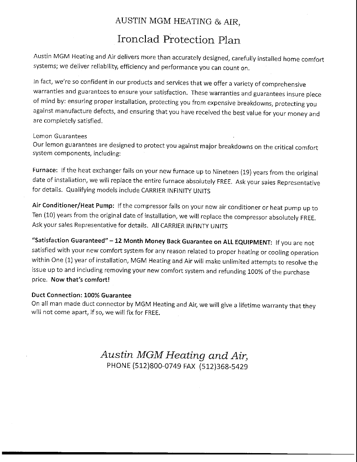### AUSTIN MGM HEATING & AIR,

## Ironclad Protection Plan

Austin MGM Heating and Air delivers more than accurately designed, carefully installed home comfort systems; we deliver reliability, efficiency and performance you can count on.

In fact, we're so confident in our products and services that we offer a variety of comprehensive warranties and guarantees to ensure your satisfaction. These warranties and guarantees insure piece of mind by: ensuring proper installation, protecting you from expensive breakdowns, protecting you against manufacture defects, and ensuring that you have received the best value for your money and are completely satisfied.

#### Lemon Guarantees

Our lemon guarantees are designed to protect you against major breakdowns on the critical comfort system components, including:

Furnace: If the heat exchanger fails on your new furnace up to Nineteen (19) years from the original date of installation, we will replace the entire furnace absolutely FREE. Ask your sales Representative for details. Qualifying models include CARRIER INFINITY UNITS

Air Conditioner/Heat Pump: If the compressor fails on your new air conditioner or heat pump up to Ten (10) years from the original date of installation, we will replace the compressor absolutely FREE, Ask your sales Representative for details. All CARRIER INFINTY UNITS

"Satisfaction Guaranteed" - 12 Month Money Back Guarantee on ALL EQUIPMENT: If you are not satisfied with your new comfort system for any reason related to proper heating or cooling operation within One (1) year of installation, MGM Heating and Air will make unlimited attempts to resolve the issue up to and including removing your new comfort system and refunding 100% of the purchase price. Now that's comfort!

#### Duct Connection: 100% Guarantee

On all man made duct connector by MGM Heating and Air, we will give a lifetime warranty that they will not come apart, if so, we will fix for FREE.

> *Austin MGM Heating and Air,* PHONE (512)800-0749 FAX (512)368-5429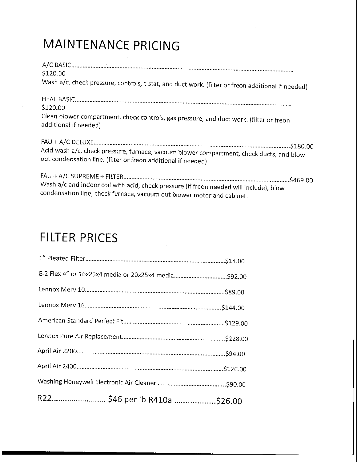# MAINTENANCE PRICING

| \$120.00                                                                                                                                                  |
|-----------------------------------------------------------------------------------------------------------------------------------------------------------|
| Wash a/c, check pressure, controls, t-stat, and duct work. (filter or freon additional if needed)                                                         |
|                                                                                                                                                           |
| \$120.00                                                                                                                                                  |
| Clean blower compartment, check controls, gas pressure, and duct work. (filter or freon<br>additional if needed)                                          |
| Acid wash a/c, check pressure, furnace, vacuum blower compartment, check ducts, and blow<br>out condensation line. (filter or freon additional if needed) |
| Wash a/c and indoor coil with acid, check pressure (if freon needed will include), blow                                                                   |

# FILTER PRICES

| R22 \$46 per lb R410a \$26.00 |  |
|-------------------------------|--|

condensation line, check furnace, vacuum out blower motor and cabinet.